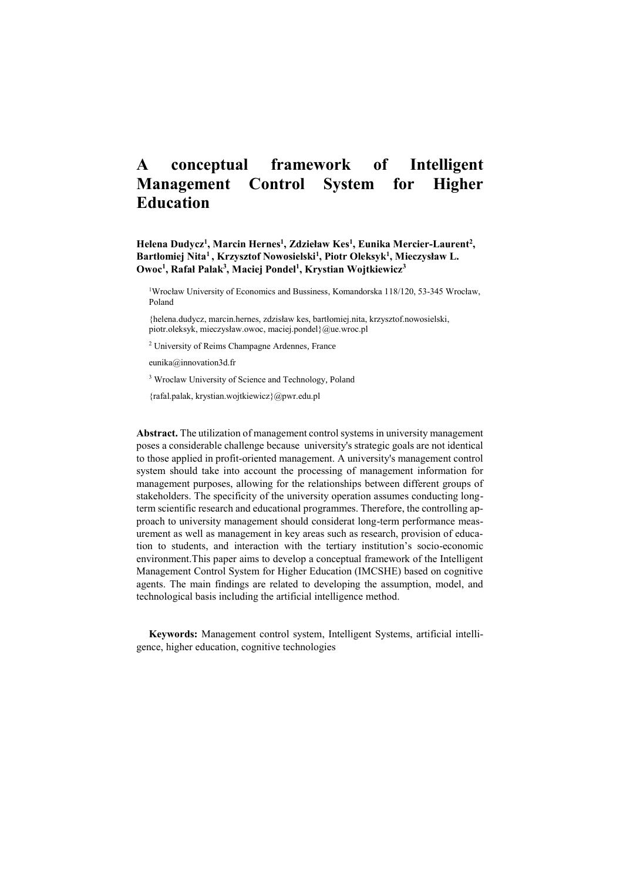# **A conceptual framework of Intelligent Management Control System for Higher Education**

**Helena Dudycz<sup>1</sup> , Marcin Hernes<sup>1</sup> , Zdzieław Kes<sup>1</sup> , Eunika Mercier-Laurent<sup>2</sup> , Bartłomiej Nita<sup>1</sup>, Krzysztof Nowosielski<sup>1</sup> , Piotr Oleksyk<sup>1</sup> , Mieczysław L. Owoc<sup>1</sup> , Rafał Palak<sup>3</sup> , Maciej Pondel<sup>1</sup> , Krystian Wojtkiewicz<sup>3</sup>**

<sup>1</sup>Wrocław University of Economics and Bussiness, Komandorska 118/120, 53-345 Wrocław, Poland

{helena.dudycz, marcin.hernes, zdzisław kes, bartłomiej.nita, krzysztof.nowosielski, piotr.oleksyk, mieczysław.owoc, maciej.pondel}@ue.wroc.pl

<sup>2</sup> University of Reims Champagne Ardennes, France

eunika@innovation3d.fr

<sup>3</sup> Wroclaw University of Science and Technology, Poland

{rafal.palak, krystian.wojtkiewicz}@pwr.edu.pl

**Abstract.** The utilization of management control systems in university management poses a considerable challenge because university's strategic goals are not identical to those applied in profit-oriented management. A university's management control system should take into account the processing of management information for management purposes, allowing for the relationships between different groups of stakeholders. The specificity of the university operation assumes conducting longterm scientific research and educational programmes. Therefore, the controlling approach to university management should considerat long-term performance measurement as well as management in key areas such as research, provision of education to students, and interaction with the tertiary institution's socio-economic environment.This paper aims to develop a conceptual framework of the Intelligent Management Control System for Higher Education (IMCSHE) based on cognitive agents. The main findings are related to developing the assumption, model, and technological basis including the artificial intelligence method.

**Keywords:** Management control system, Intelligent Systems, artificial intelligence, higher education, cognitive technologies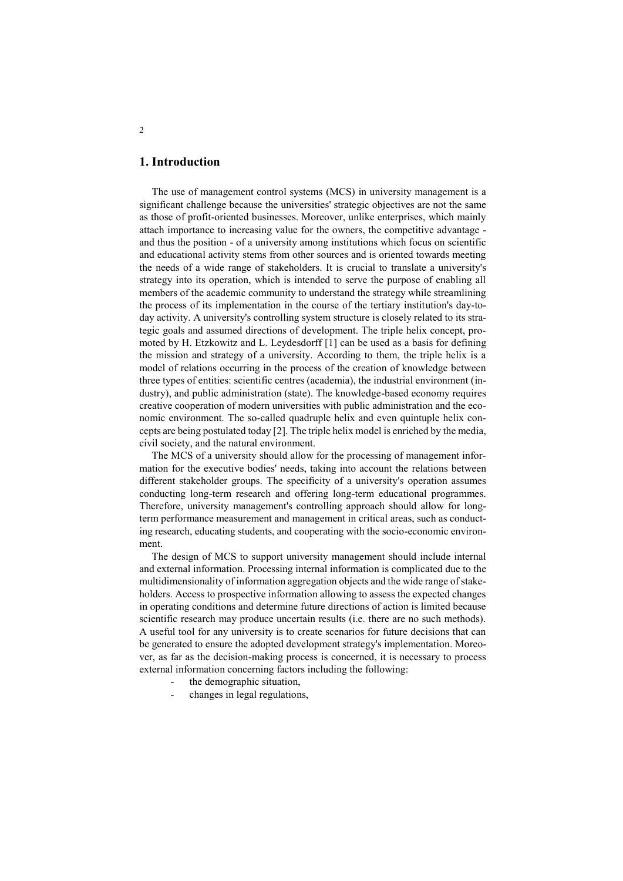## **1. Introduction**

The use of management control systems (MCS) in university management is a significant challenge because the universities' strategic objectives are not the same as those of profit-oriented businesses. Moreover, unlike enterprises, which mainly attach importance to increasing value for the owners, the competitive advantage and thus the position - of a university among institutions which focus on scientific and educational activity stems from other sources and is oriented towards meeting the needs of a wide range of stakeholders. It is crucial to translate a university's strategy into its operation, which is intended to serve the purpose of enabling all members of the academic community to understand the strategy while streamlining the process of its implementation in the course of the tertiary institution's day-today activity. A university's controlling system structure is closely related to its strategic goals and assumed directions of development. The triple helix concept, promoted by H. Etzkowitz and L. Leydesdorff [1] can be used as a basis for defining the mission and strategy of a university. According to them, the triple helix is a model of relations occurring in the process of the creation of knowledge between three types of entities: scientific centres (academia), the industrial environment (industry), and public administration (state). The knowledge-based economy requires creative cooperation of modern universities with public administration and the economic environment. The so-called quadruple helix and even quintuple helix concepts are being postulated today [2]. The triple helix model is enriched by the media, civil society, and the natural environment.

The MCS of a university should allow for the processing of management information for the executive bodies' needs, taking into account the relations between different stakeholder groups. The specificity of a university's operation assumes conducting long-term research and offering long-term educational programmes. Therefore, university management's controlling approach should allow for longterm performance measurement and management in critical areas, such as conducting research, educating students, and cooperating with the socio-economic environment.

The design of MCS to support university management should include internal and external information. Processing internal information is complicated due to the multidimensionality of information aggregation objects and the wide range of stakeholders. Access to prospective information allowing to assess the expected changes in operating conditions and determine future directions of action is limited because scientific research may produce uncertain results (i.e. there are no such methods). A useful tool for any university is to create scenarios for future decisions that can be generated to ensure the adopted development strategy's implementation. Moreover, as far as the decision-making process is concerned, it is necessary to process external information concerning factors including the following:

- the demographic situation,
- changes in legal regulations,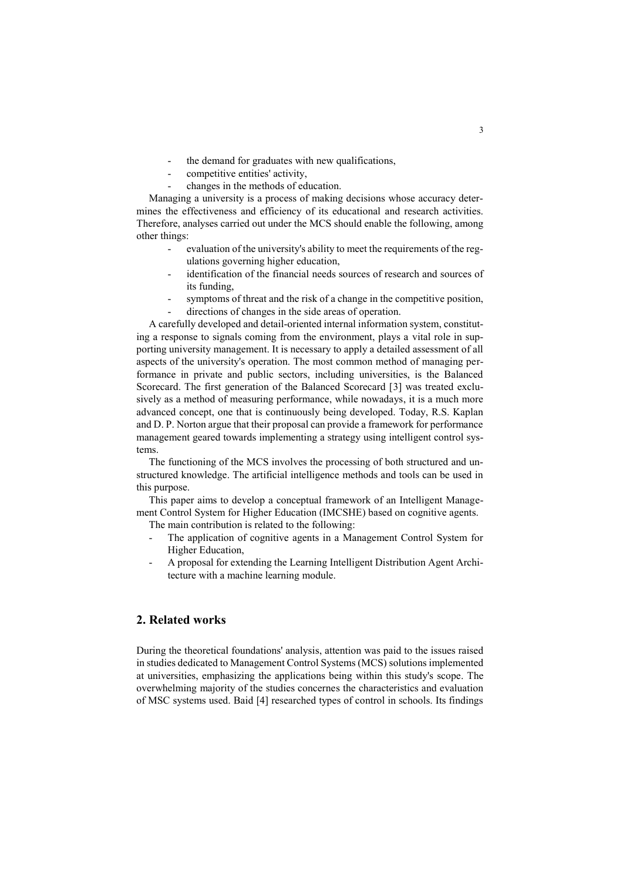- the demand for graduates with new qualifications,
- competitive entities' activity,
- changes in the methods of education.

Managing a university is a process of making decisions whose accuracy determines the effectiveness and efficiency of its educational and research activities. Therefore, analyses carried out under the MCS should enable the following, among other things:

- evaluation of the university's ability to meet the requirements of the regulations governing higher education,
- identification of the financial needs sources of research and sources of its funding,
- symptoms of threat and the risk of a change in the competitive position, directions of changes in the side areas of operation.

A carefully developed and detail-oriented internal information system, constituting a response to signals coming from the environment, plays a vital role in supporting university management. It is necessary to apply a detailed assessment of all aspects of the university's operation. The most common method of managing performance in private and public sectors, including universities, is the Balanced Scorecard. The first generation of the Balanced Scorecard [3] was treated exclusively as a method of measuring performance, while nowadays, it is a much more advanced concept, one that is continuously being developed. Today, R.S. Kaplan and D. P. Norton argue that their proposal can provide a framework for performance management geared towards implementing a strategy using intelligent control systems.

The functioning of the MCS involves the processing of both structured and unstructured knowledge. The artificial intelligence methods and tools can be used in this purpose.

This paper aims to develop a conceptual framework of an Intelligent Management Control System for Higher Education (IMCSHE) based on cognitive agents.

- The main contribution is related to the following:
- The application of cognitive agents in a Management Control System for Higher Education,
- A proposal for extending the Learning Intelligent Distribution Agent Architecture with a machine learning module.

## **2. Related works**

During the theoretical foundations' analysis, attention was paid to the issues raised in studies dedicated to Management Control Systems (MCS) solutions implemented at universities, emphasizing the applications being within this study's scope. The overwhelming majority of the studies concernes the characteristics and evaluation of MSC systems used. Baid [4] researched types of control in schools. Its findings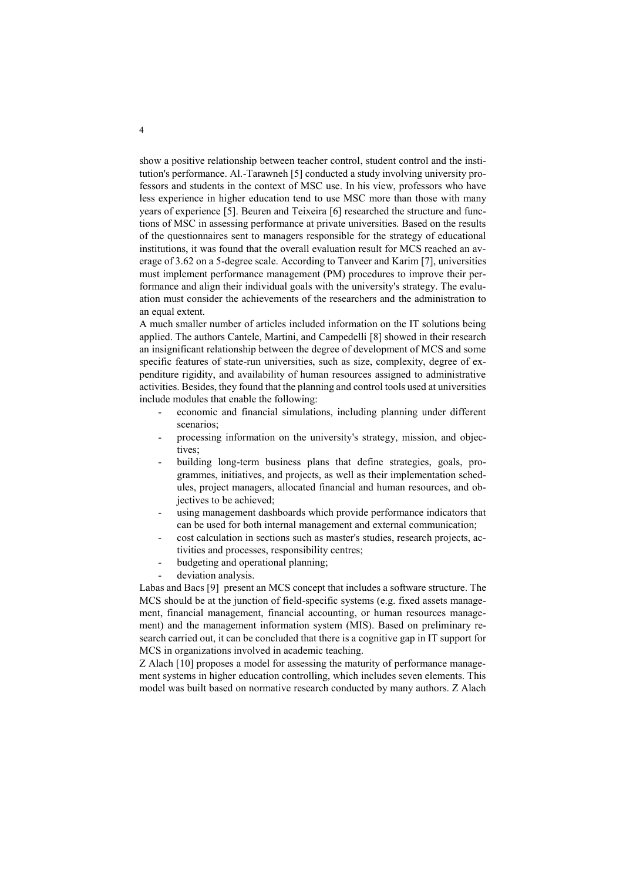show a positive relationship between teacher control, student control and the institution's performance. Al.-Tarawneh [5] conducted a study involving university professors and students in the context of MSC use. In his view, professors who have less experience in higher education tend to use MSC more than those with many years of experience [5]. Beuren and Teixeira [6] researched the structure and functions of MSC in assessing performance at private universities. Based on the results of the questionnaires sent to managers responsible for the strategy of educational institutions, it was found that the overall evaluation result for MCS reached an average of 3.62 on a 5-degree scale. According to Tanveer and Karim [7], universities must implement performance management (PM) procedures to improve their performance and align their individual goals with the university's strategy. The evaluation must consider the achievements of the researchers and the administration to an equal extent.

A much smaller number of articles included information on the IT solutions being applied. The authors Cantele, Martini, and Campedelli [8] showed in their research an insignificant relationship between the degree of development of MCS and some specific features of state-run universities, such as size, complexity, degree of expenditure rigidity, and availability of human resources assigned to administrative activities. Besides, they found that the planning and control tools used at universities include modules that enable the following:

- economic and financial simulations, including planning under different scenarios;
- processing information on the university's strategy, mission, and objectives;
- building long-term business plans that define strategies, goals, programmes, initiatives, and projects, as well as their implementation schedules, project managers, allocated financial and human resources, and objectives to be achieved;
- using management dashboards which provide performance indicators that can be used for both internal management and external communication;
- cost calculation in sections such as master's studies, research projects, activities and processes, responsibility centres;
- budgeting and operational planning;
- deviation analysis.

Labas and Bacs [9] present an MCS concept that includes a software structure. The MCS should be at the junction of field-specific systems (e.g. fixed assets management, financial management, financial accounting, or human resources management) and the management information system (MIS). Based on preliminary research carried out, it can be concluded that there is a cognitive gap in IT support for MCS in organizations involved in academic teaching.

Z Alach [10] proposes a model for assessing the maturity of performance management systems in higher education controlling, which includes seven elements. This model was built based on normative research conducted by many authors. Z Alach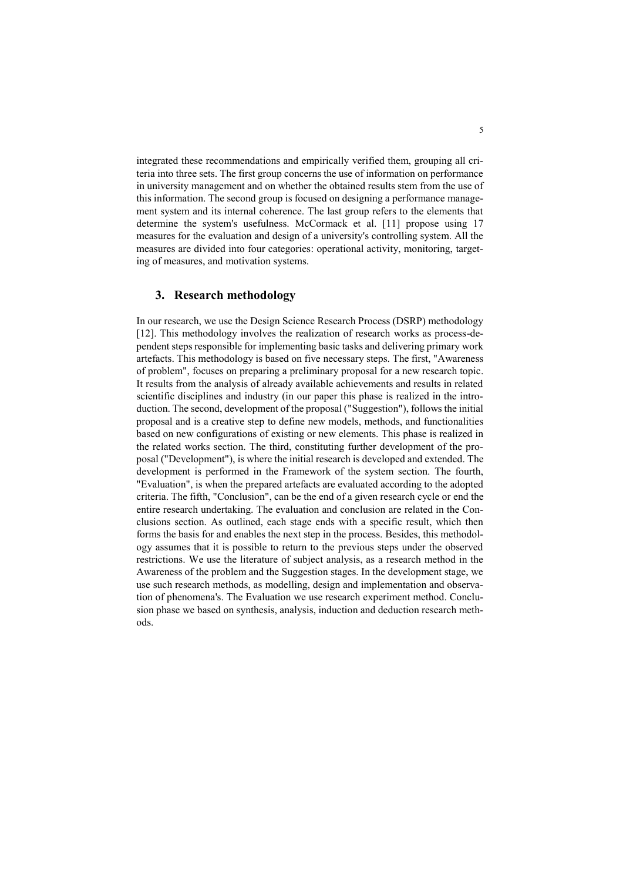integrated these recommendations and empirically verified them, grouping all criteria into three sets. The first group concerns the use of information on performance in university management and on whether the obtained results stem from the use of this information. The second group is focused on designing a performance management system and its internal coherence. The last group refers to the elements that determine the system's usefulness. McCormack et al. [11] propose using 17 measures for the evaluation and design of a university's controlling system. All the measures are divided into four categories: operational activity, monitoring, targeting of measures, and motivation systems.

## **3. Research methodology**

In our research, we use the Design Science Research Process (DSRP) methodology [12]. This methodology involves the realization of research works as process-dependent steps responsible for implementing basic tasks and delivering primary work artefacts. This methodology is based on five necessary steps. The first, "Awareness of problem", focuses on preparing a preliminary proposal for a new research topic. It results from the analysis of already available achievements and results in related scientific disciplines and industry (in our paper this phase is realized in the introduction. The second, development of the proposal ("Suggestion"), follows the initial proposal and is a creative step to define new models, methods, and functionalities based on new configurations of existing or new elements. This phase is realized in the related works section. The third, constituting further development of the proposal ("Development"), is where the initial research is developed and extended. The development is performed in the Framework of the system section. The fourth, "Evaluation", is when the prepared artefacts are evaluated according to the adopted criteria. The fifth, "Conclusion", can be the end of a given research cycle or end the entire research undertaking. The evaluation and conclusion are related in the Conclusions section. As outlined, each stage ends with a specific result, which then forms the basis for and enables the next step in the process. Besides, this methodology assumes that it is possible to return to the previous steps under the observed restrictions. We use the literature of subject analysis, as a research method in the Awareness of the problem and the Suggestion stages. In the development stage, we use such research methods, as modelling, design and implementation and observation of phenomena's. The Evaluation we use research experiment method. Conclusion phase we based on synthesis, analysis, induction and deduction research methods.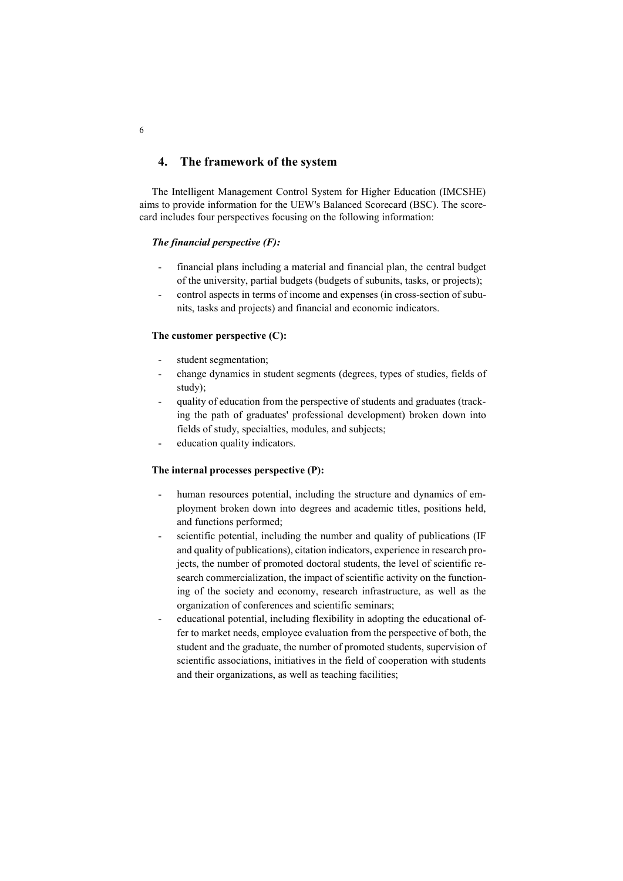## **4. The framework of the system**

The Intelligent Management Control System for Higher Education (IMCSHE) aims to provide information for the UEW's Balanced Scorecard (BSC). The scorecard includes four perspectives focusing on the following information:

#### *The financial perspective (F):*

- financial plans including a material and financial plan, the central budget of the university, partial budgets (budgets of subunits, tasks, or projects);
- control aspects in terms of income and expenses (in cross-section of subunits, tasks and projects) and financial and economic indicators.

#### **The customer perspective (C):**

- student segmentation;
- change dynamics in student segments (degrees, types of studies, fields of study);
- quality of education from the perspective of students and graduates (tracking the path of graduates' professional development) broken down into fields of study, specialties, modules, and subjects;
- education quality indicators.

#### **The internal processes perspective (P):**

- human resources potential, including the structure and dynamics of employment broken down into degrees and academic titles, positions held, and functions performed;
- scientific potential, including the number and quality of publications (IF and quality of publications), citation indicators, experience in research projects, the number of promoted doctoral students, the level of scientific research commercialization, the impact of scientific activity on the functioning of the society and economy, research infrastructure, as well as the organization of conferences and scientific seminars;
- educational potential, including flexibility in adopting the educational offer to market needs, employee evaluation from the perspective of both, the student and the graduate, the number of promoted students, supervision of scientific associations, initiatives in the field of cooperation with students and their organizations, as well as teaching facilities;

6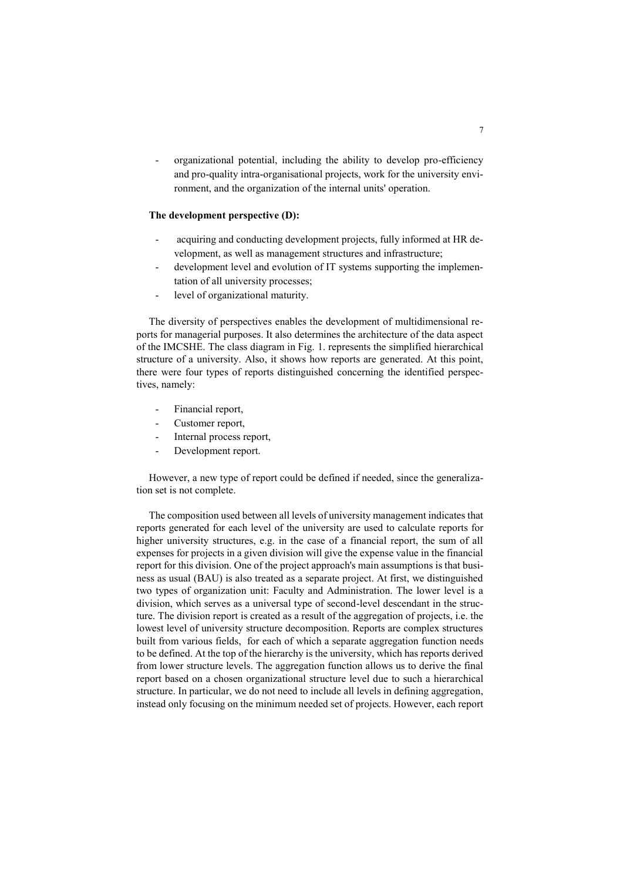organizational potential, including the ability to develop pro-efficiency and pro-quality intra-organisational projects, work for the university environment, and the organization of the internal units' operation.

#### **The development perspective (D):**

- acquiring and conducting development projects, fully informed at HR development, as well as management structures and infrastructure;
- development level and evolution of IT systems supporting the implementation of all university processes;
- level of organizational maturity.

The diversity of perspectives enables the development of multidimensional reports for managerial purposes. It also determines the architecture of the data aspect of the IMCSHE. The class diagram in Fig. 1. represents the simplified hierarchical structure of a university. Also, it shows how reports are generated. At this point, there were four types of reports distinguished concerning the identified perspectives, namely:

- Financial report,
- Customer report,
- Internal process report,
- Development report.

However, a new type of report could be defined if needed, since the generalization set is not complete.

The composition used between all levels of university management indicates that reports generated for each level of the university are used to calculate reports for higher university structures, e.g. in the case of a financial report, the sum of all expenses for projects in a given division will give the expense value in the financial report for this division. One of the project approach's main assumptions is that business as usual (BAU) is also treated as a separate project. At first, we distinguished two types of organization unit: Faculty and Administration. The lower level is a division, which serves as a universal type of second-level descendant in the structure. The division report is created as a result of the aggregation of projects, i.e. the lowest level of university structure decomposition. Reports are complex structures built from various fields, for each of which a separate aggregation function needs to be defined. At the top of the hierarchy is the university, which has reports derived from lower structure levels. The aggregation function allows us to derive the final report based on a chosen organizational structure level due to such a hierarchical structure. In particular, we do not need to include all levels in defining aggregation, instead only focusing on the minimum needed set of projects. However, each report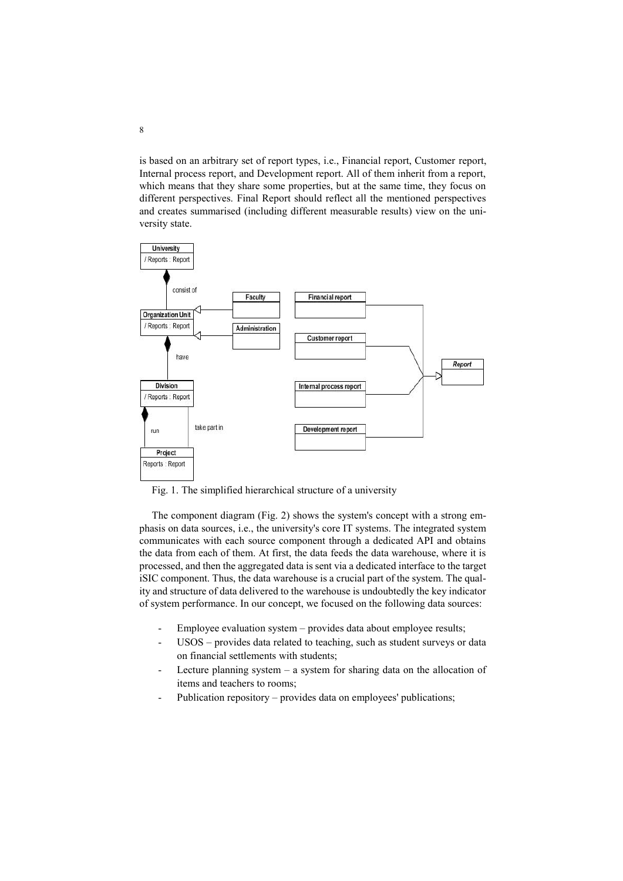is based on an arbitrary set of report types, i.e., Financial report, Customer report, Internal process report, and Development report. All of them inherit from a report, which means that they share some properties, but at the same time, they focus on different perspectives. Final Report should reflect all the mentioned perspectives and creates summarised (including different measurable results) view on the university state.



Fig. 1. The simplified hierarchical structure of a university

The component diagram (Fig. 2) shows the system's concept with a strong emphasis on data sources, i.e., the university's core IT systems. The integrated system communicates with each source component through a dedicated API and obtains the data from each of them. At first, the data feeds the data warehouse, where it is processed, and then the aggregated data is sent via a dedicated interface to the target iSIC component. Thus, the data warehouse is a crucial part of the system. The quality and structure of data delivered to the warehouse is undoubtedly the key indicator of system performance. In our concept, we focused on the following data sources:

- Employee evaluation system provides data about employee results;
- USOS provides data related to teaching, such as student surveys or data on financial settlements with students;
- Lecture planning system a system for sharing data on the allocation of items and teachers to rooms;
- Publication repository provides data on employees' publications;

8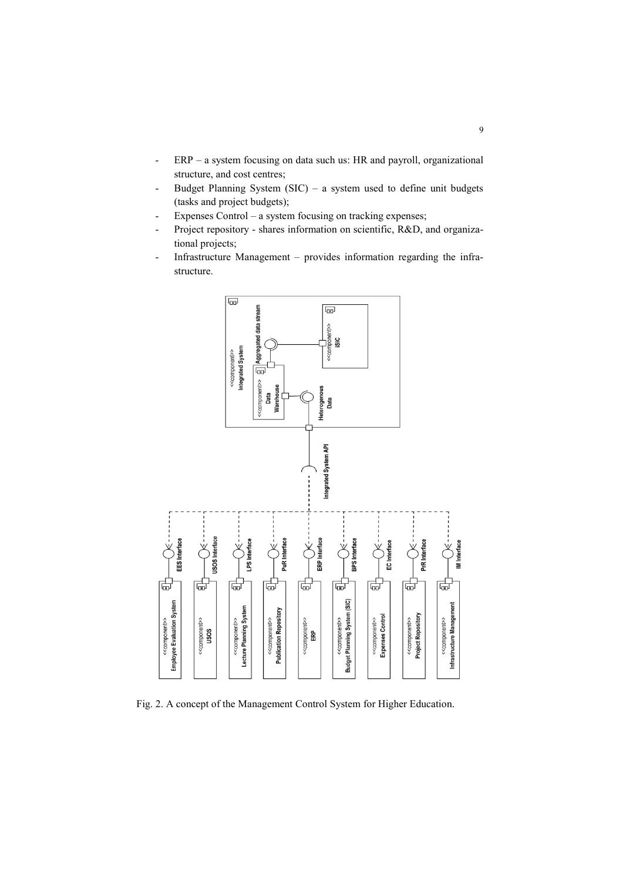- ERP a system focusing on data such us: HR and payroll, organizational structure, and cost centres;
- Budget Planning System (SIC) a system used to define unit budgets (tasks and project budgets);
- Expenses Control a system focusing on tracking expenses;
- Project repository shares information on scientific, R&D, and organizational projects;
- Infrastructure Management provides information regarding the infrastructure.



Fig. 2. A concept of the Management Control System for Higher Education.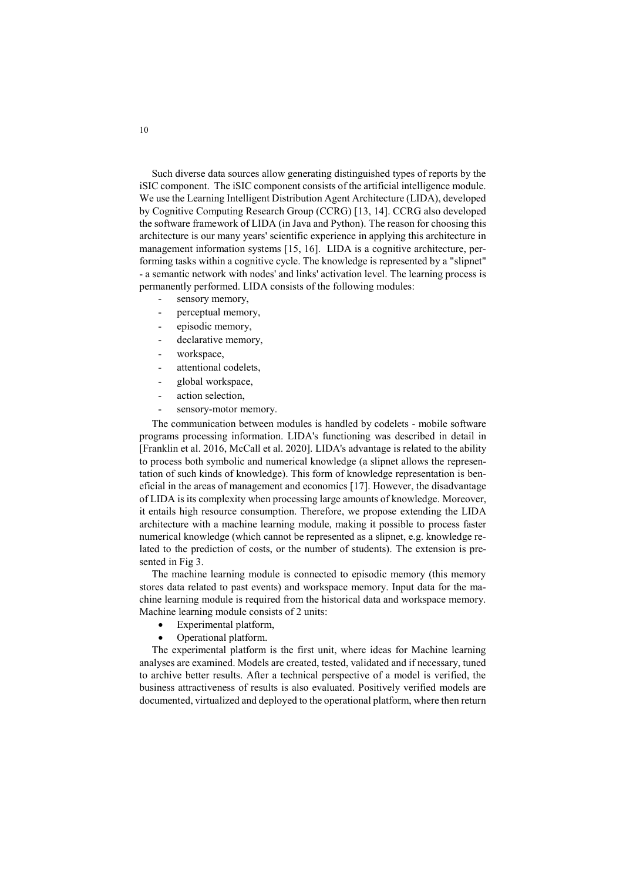Such diverse data sources allow generating distinguished types of reports by the iSIC component. The iSIC component consists of the artificial intelligence module. We use the Learning Intelligent Distribution Agent Architecture (LIDA), developed by Cognitive Computing Research Group (CCRG) [13, 14]. CCRG also developed the software framework of LIDA (in Java and Python). The reason for choosing this architecture is our many years' scientific experience in applying this architecture in management information systems [15, 16]. LIDA is a cognitive architecture, performing tasks within a cognitive cycle. The knowledge is represented by a "slipnet" - a semantic network with nodes' and links' activation level. The learning process is permanently performed. LIDA consists of the following modules:

- sensory memory,
- perceptual memory,
- episodic memory,
- declarative memory,
- workspace.
- attentional codelets,
- global workspace,
- action selection,
- sensory-motor memory.

The communication between modules is handled by codelets - mobile software programs processing information. LIDA's functioning was described in detail in [Franklin et al. 2016, McCall et al. 2020]. LIDA's advantage is related to the ability to process both symbolic and numerical knowledge (a slipnet allows the representation of such kinds of knowledge). This form of knowledge representation is beneficial in the areas of management and economics [17]. However, the disadvantage of LIDA is its complexity when processing large amounts of knowledge. Moreover, it entails high resource consumption. Therefore, we propose extending the LIDA architecture with a machine learning module, making it possible to process faster numerical knowledge (which cannot be represented as a slipnet, e.g. knowledge related to the prediction of costs, or the number of students). The extension is presented in Fig 3.

The machine learning module is connected to episodic memory (this memory stores data related to past events) and workspace memory. Input data for the machine learning module is required from the historical data and workspace memory. Machine learning module consists of 2 units:

- Experimental platform,
- Operational platform.

The experimental platform is the first unit, where ideas for Machine learning analyses are examined. Models are created, tested, validated and if necessary, tuned to archive better results. After a technical perspective of a model is verified, the business attractiveness of results is also evaluated. Positively verified models are documented, virtualized and deployed to the operational platform, where then return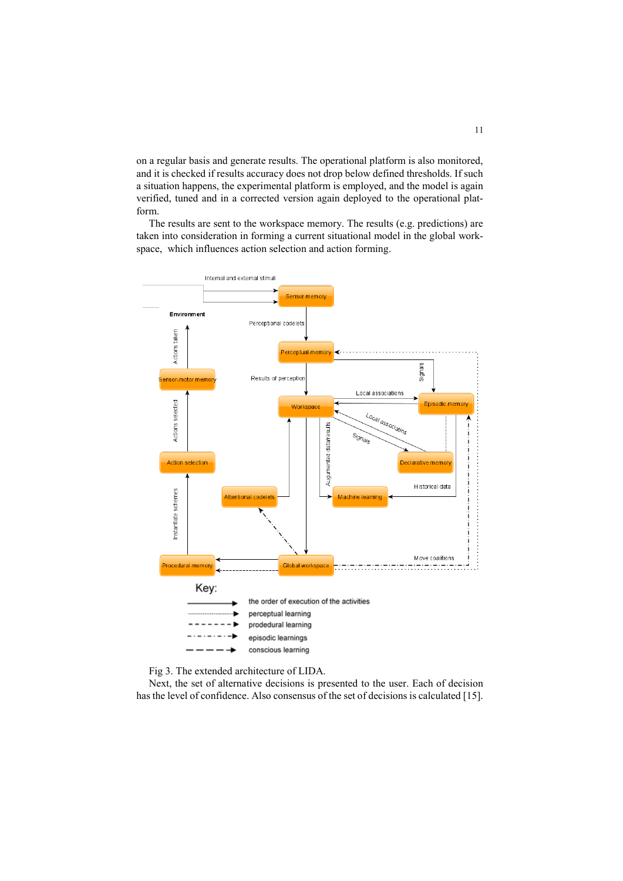on a regular basis and generate results. The operational platform is also monitored, and it is checked if results accuracy does not drop below defined thresholds. If such a situation happens, the experimental platform is employed, and the model is again verified, tuned and in a corrected version again deployed to the operational platform.

The results are sent to the workspace memory. The results (e.g. predictions) are taken into consideration in forming a current situational model in the global workspace, which influences action selection and action forming.



Fig 3. The extended architecture of LIDA.

Next, the set of alternative decisions is presented to the user. Each of decision has the level of confidence. Also consensus of the set of decisions is calculated [15].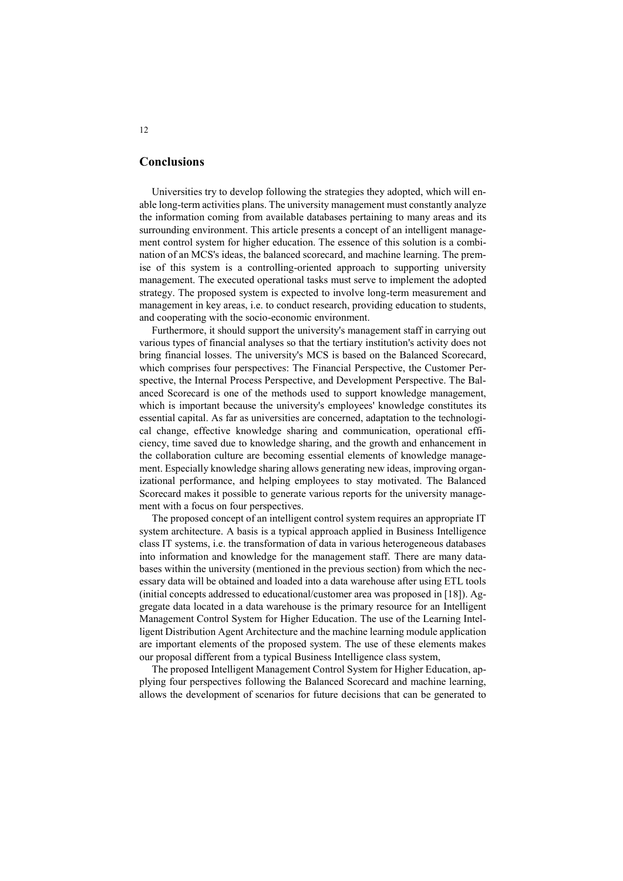## **Conclusions**

Universities try to develop following the strategies they adopted, which will enable long-term activities plans. The university management must constantly analyze the information coming from available databases pertaining to many areas and its surrounding environment. This article presents a concept of an intelligent management control system for higher education. The essence of this solution is a combination of an MCS's ideas, the balanced scorecard, and machine learning. The premise of this system is a controlling-oriented approach to supporting university management. The executed operational tasks must serve to implement the adopted strategy. The proposed system is expected to involve long-term measurement and management in key areas, i.e. to conduct research, providing education to students, and cooperating with the socio-economic environment.

Furthermore, it should support the university's management staff in carrying out various types of financial analyses so that the tertiary institution's activity does not bring financial losses. The university's MCS is based on the Balanced Scorecard, which comprises four perspectives: The Financial Perspective, the Customer Perspective, the Internal Process Perspective, and Development Perspective. The Balanced Scorecard is one of the methods used to support knowledge management, which is important because the university's employees' knowledge constitutes its essential capital. As far as universities are concerned, adaptation to the technological change, effective knowledge sharing and communication, operational efficiency, time saved due to knowledge sharing, and the growth and enhancement in the collaboration culture are becoming essential elements of knowledge management. Especially knowledge sharing allows generating new ideas, improving organizational performance, and helping employees to stay motivated. The Balanced Scorecard makes it possible to generate various reports for the university management with a focus on four perspectives.

The proposed concept of an intelligent control system requires an appropriate IT system architecture. A basis is a typical approach applied in Business Intelligence class IT systems, i.e. the transformation of data in various heterogeneous databases into information and knowledge for the management staff. There are many databases within the university (mentioned in the previous section) from which the necessary data will be obtained and loaded into a data warehouse after using ETL tools (initial concepts addressed to educational/customer area was proposed in [18]). Aggregate data located in a data warehouse is the primary resource for an Intelligent Management Control System for Higher Education. The use of the Learning Intelligent Distribution Agent Architecture and the machine learning module application are important elements of the proposed system. The use of these elements makes our proposal different from a typical Business Intelligence class system,

The proposed Intelligent Management Control System for Higher Education, applying four perspectives following the Balanced Scorecard and machine learning, allows the development of scenarios for future decisions that can be generated to

12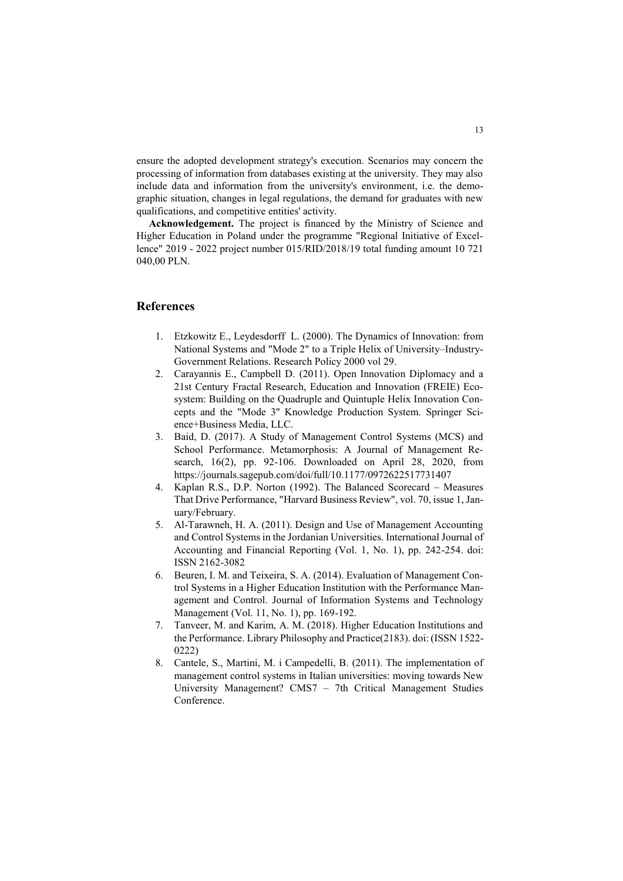ensure the adopted development strategy's execution. Scenarios may concern the processing of information from databases existing at the university. They may also include data and information from the university's environment, i.e. the demographic situation, changes in legal regulations, the demand for graduates with new qualifications, and competitive entities' activity.

**Acknowledgement.** The project is financed by the Ministry of Science and Higher Education in Poland under the programme "Regional Initiative of Excellence" 2019 - 2022 project number 015/RID/2018/19 total funding amount 10 721 040,00 PLN.

## **References**

- 1. Etzkowitz E., Leydesdorff L. (2000). The Dynamics of Innovation: from National Systems and "Mode 2" to a Triple Helix of University–Industry-Government Relations. Research Policy 2000 vol 29.
- 2. Carayannis E., Campbell D. (2011). Open Innovation Diplomacy and a 21st Century Fractal Research, Education and Innovation (FREIE) Ecosystem: Building on the Quadruple and Quintuple Helix Innovation Concepts and the "Mode 3" Knowledge Production System. Springer Science+Business Media, LLC.
- 3. Baid, D. (2017). A Study of Management Control Systems (MCS) and School Performance. Metamorphosis: A Journal of Management Research, 16(2), pp. 92-106. Downloaded on April 28, 2020, from https://journals.sagepub.com/doi/full/10.1177/0972622517731407
- 4. Kaplan R.S., D.P. Norton (1992). The Balanced Scorecard Measures That Drive Performance, "Harvard Business Review", vol. 70, issue 1, January/February.
- 5. Al-Tarawneh, H. A. (2011). Design and Use of Management Accounting and Control Systems in the Jordanian Universities. International Journal of Accounting and Financial Reporting (Vol. 1, No. 1), pp. 242-254. doi: ISSN 2162-3082
- 6. Beuren, I. M. and Teixeira, S. A. (2014). Evaluation of Management Control Systems in a Higher Education Institution with the Performance Management and Control. Journal of Information Systems and Technology Management (Vol. 11, No. 1), pp. 169-192.
- 7. Tanveer, M. and Karim, A. M. (2018). Higher Education Institutions and the Performance. Library Philosophy and Practice(2183). doi: (ISSN 1522- 0222)
- 8. Cantele, S., Martini, M. i Campedelli, B. (2011). The implementation of management control systems in Italian universities: moving towards New University Management? CMS7 – 7th Critical Management Studies Conference.